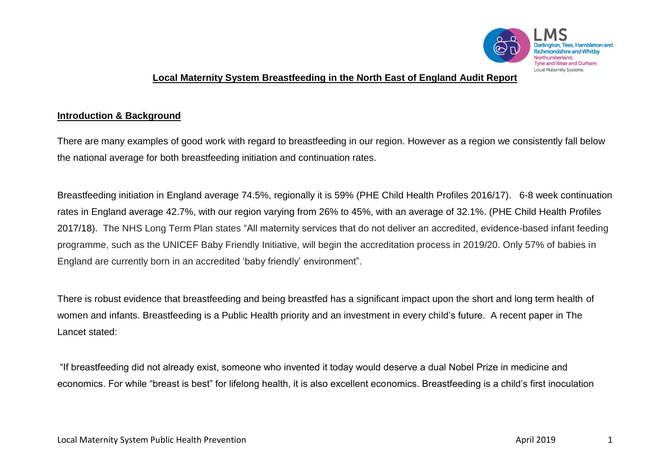

### **Local Maternity System Breastfeeding in the North East of England Audit Report**

#### **Introduction & Background**

There are many examples of good work with regard to breastfeeding in our region. However as a region we consistently fall below the national average for both breastfeeding initiation and continuation rates.

Breastfeeding initiation in England average 74.5%, regionally it is 59% (PHE Child Health Profiles 2016/17). 6-8 week continuation rates in England average 42.7%, with our region varying from 26% to 45%, with an average of 32.1%. (PHE Child Health Profiles 2017/18). The NHS Long Term Plan states "All maternity services that do not deliver an accredited, evidence-based infant feeding programme, such as the UNICEF Baby Friendly Initiative, will begin the accreditation process in 2019/20. Only 57% of babies in England are currently born in an accredited 'baby friendly' environment".

There is robust evidence that breastfeeding and being breastfed has a significant impact upon the short and long term health of women and infants. Breastfeeding is a Public Health priority and an investment in every child's future. A recent paper in The Lancet stated:

"If breastfeeding did not already exist, someone who invented it today would deserve a dual Nobel Prize in medicine and economics. For while "breast is best" for lifelong health, it is also excellent economics. Breastfeeding is a child's first inoculation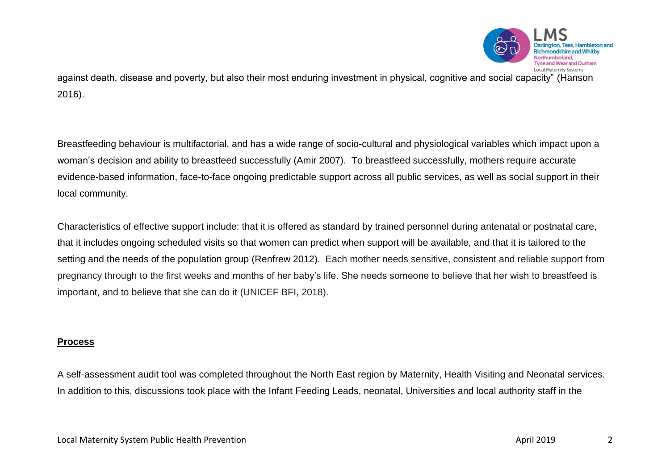

against death, disease and poverty, but also their most enduring investment in physical, cognitive and social capacity" (Hanson 2016).

Breastfeeding behaviour is multifactorial, and has a wide range of socio-cultural and physiological variables which impact upon a woman's decision and ability to breastfeed successfully (Amir 2007). To breastfeed successfully, mothers require accurate evidence-based information, face-to-face ongoing predictable support across all public services, as well as social support in their local community.

Characteristics of effective support include: that it is offered as standard by trained personnel during antenatal or postnatal care, that it includes ongoing scheduled visits so that women can predict when support will be available, and that it is tailored to the setting and the needs of the population group (Renfrew 2012). Each mother needs sensitive, consistent and reliable support from pregnancy through to the first weeks and months of her baby's life. She needs someone to believe that her wish to breastfeed is important, and to believe that she can do it (UNICEF BFI, 2018).

#### **Process**

A self-assessment audit tool was completed throughout the North East region by Maternity, Health Visiting and Neonatal services. In addition to this, discussions took place with the Infant Feeding Leads, neonatal, Universities and local authority staff in the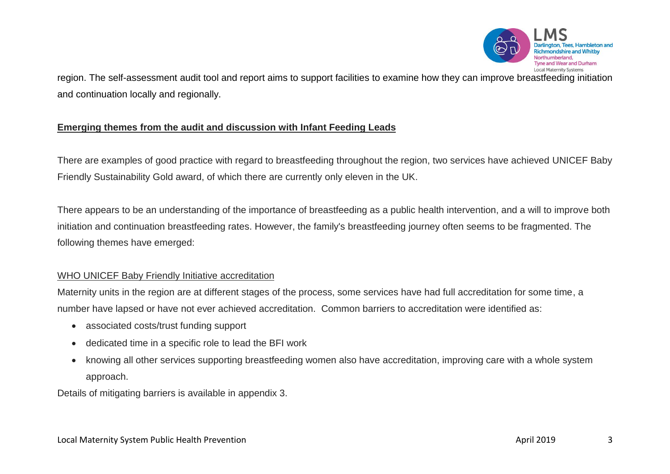

region. The self-assessment audit tool and report aims to support facilities to examine how they can improve breastfeeding initiation and continuation locally and regionally.

## **Emerging themes from the audit and discussion with Infant Feeding Leads**

There are examples of good practice with regard to breastfeeding throughout the region, two services have achieved UNICEF Baby Friendly Sustainability Gold award, of which there are currently only eleven in the UK.

There appears to be an understanding of the importance of breastfeeding as a public health intervention, and a will to improve both initiation and continuation breastfeeding rates. However, the family's breastfeeding journey often seems to be fragmented. The following themes have emerged:

## WHO UNICEF Baby Friendly Initiative accreditation

Maternity units in the region are at different stages of the process, some services have had full accreditation for some time, a number have lapsed or have not ever achieved accreditation. Common barriers to accreditation were identified as:

- associated costs/trust funding support
- dedicated time in a specific role to lead the BFI work
- knowing all other services supporting breastfeeding women also have accreditation, improving care with a whole system approach.

Details of mitigating barriers is available in appendix 3.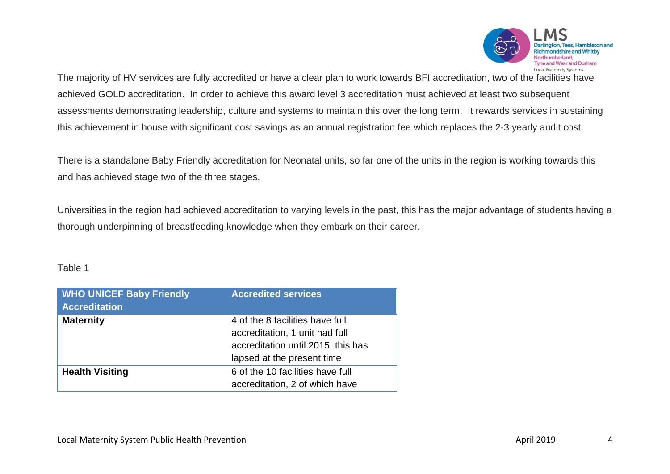

The majority of HV services are fully accredited or have a clear plan to work towards BFI accreditation, two of the facilities have achieved GOLD accreditation. In order to achieve this award level 3 accreditation must achieved at least two subsequent assessments demonstrating leadership, culture and systems to maintain this over the long term. It rewards services in sustaining this achievement in house with significant cost savings as an annual registration fee which replaces the 2-3 yearly audit cost.

There is a standalone Baby Friendly accreditation for Neonatal units, so far one of the units in the region is working towards this and has achieved stage two of the three stages.

Universities in the region had achieved accreditation to varying levels in the past, this has the major advantage of students having a thorough underpinning of breastfeeding knowledge when they embark on their career.

#### Table 1

| <b>WHO UNICEF Baby Friendly</b><br><b>Accreditation</b> | <b>Accredited services</b>         |
|---------------------------------------------------------|------------------------------------|
| <b>Maternity</b>                                        | 4 of the 8 facilities have full    |
|                                                         | accreditation, 1 unit had full     |
|                                                         | accreditation until 2015, this has |
|                                                         | lapsed at the present time         |
| <b>Health Visiting</b>                                  | 6 of the 10 facilities have full   |
|                                                         | accreditation, 2 of which have     |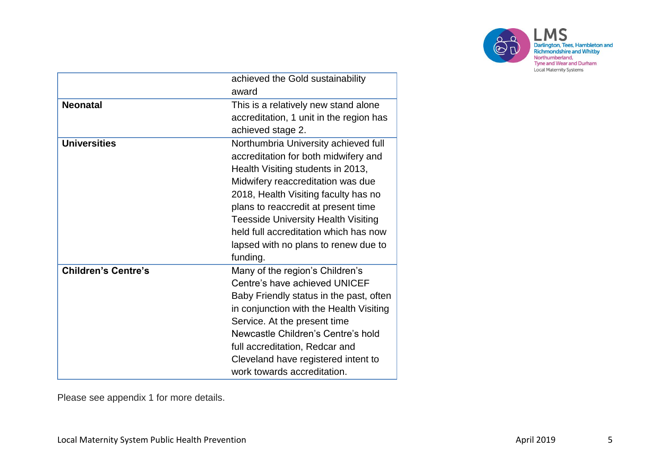

|                            | achieved the Gold sustainability           |  |
|----------------------------|--------------------------------------------|--|
|                            |                                            |  |
|                            | award                                      |  |
| <b>Neonatal</b>            | This is a relatively new stand alone       |  |
|                            | accreditation, 1 unit in the region has    |  |
|                            | achieved stage 2.                          |  |
| <b>Universities</b>        | Northumbria University achieved full       |  |
|                            | accreditation for both midwifery and       |  |
|                            | Health Visiting students in 2013,          |  |
|                            | Midwifery reaccreditation was due          |  |
|                            | 2018, Health Visiting faculty has no       |  |
|                            | plans to reaccredit at present time        |  |
|                            | <b>Teesside University Health Visiting</b> |  |
|                            | held full accreditation which has now      |  |
|                            | lapsed with no plans to renew due to       |  |
|                            | funding.                                   |  |
| <b>Children's Centre's</b> | Many of the region's Children's            |  |
|                            | Centre's have achieved UNICEF              |  |
|                            | Baby Friendly status in the past, often    |  |
|                            | in conjunction with the Health Visiting    |  |
|                            | Service. At the present time               |  |
|                            | Newcastle Children's Centre's hold         |  |
|                            | full accreditation, Redcar and             |  |
|                            | Cleveland have registered intent to        |  |
|                            | work towards accreditation.                |  |

Please see appendix 1 for more details.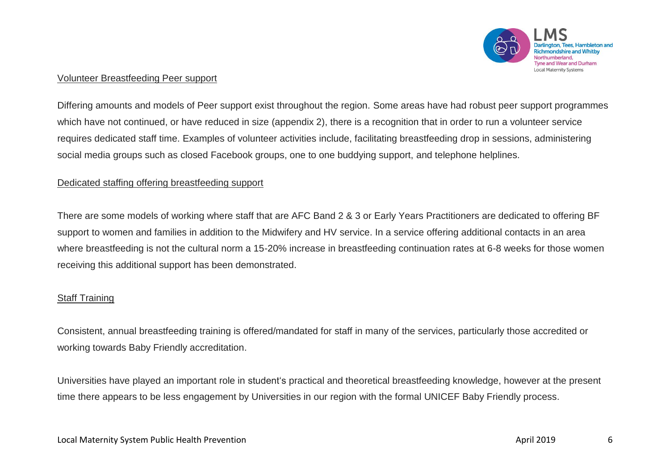

#### Volunteer Breastfeeding Peer support

Differing amounts and models of Peer support exist throughout the region. Some areas have had robust peer support programmes which have not continued, or have reduced in size (appendix 2), there is a recognition that in order to run a volunteer service requires dedicated staff time. Examples of volunteer activities include, facilitating breastfeeding drop in sessions, administering social media groups such as closed Facebook groups, one to one buddying support, and telephone helplines.

#### Dedicated staffing offering breastfeeding support

There are some models of working where staff that are AFC Band 2 & 3 or Early Years Practitioners are dedicated to offering BF support to women and families in addition to the Midwifery and HV service. In a service offering additional contacts in an area where breastfeeding is not the cultural norm a 15-20% increase in breastfeeding continuation rates at 6-8 weeks for those women receiving this additional support has been demonstrated.

## Staff Training

Consistent, annual breastfeeding training is offered/mandated for staff in many of the services, particularly those accredited or working towards Baby Friendly accreditation.

Universities have played an important role in student's practical and theoretical breastfeeding knowledge, however at the present time there appears to be less engagement by Universities in our region with the formal UNICEF Baby Friendly process.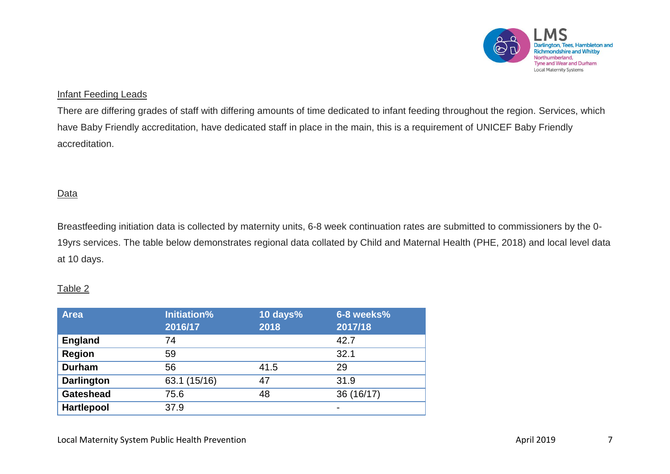

## Infant Feeding Leads

There are differing grades of staff with differing amounts of time dedicated to infant feeding throughout the region. Services, which have Baby Friendly accreditation, have dedicated staff in place in the main, this is a requirement of UNICEF Baby Friendly accreditation.

### **Data**

Breastfeeding initiation data is collected by maternity units, 6-8 week continuation rates are submitted to commissioners by the 0- 19yrs services. The table below demonstrates regional data collated by Child and Maternal Health (PHE, 2018) and local level data at 10 days.

## Table 2

| <b>Area</b>       | <b>Initiation%</b><br>2016/17 | 10 days%<br>2018 | 6-8 weeks%<br>2017/18 |
|-------------------|-------------------------------|------------------|-----------------------|
| <b>England</b>    | 74                            |                  | 42.7                  |
| <b>Region</b>     | 59                            |                  | 32.1                  |
| <b>Durham</b>     | 56                            | 41.5             | 29                    |
| <b>Darlington</b> | 63.1 (15/16)                  | 47               | 31.9                  |
| <b>Gateshead</b>  | 75.6                          | 48               | 36 (16/17)            |
| <b>Hartlepool</b> | 37.9                          |                  | $\blacksquare$        |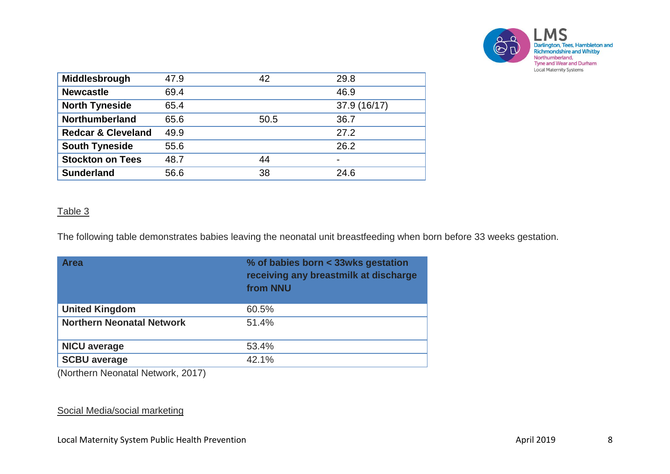

| Middlesbrough                 | 47.9 | 42   | 29.8                     |
|-------------------------------|------|------|--------------------------|
| <b>Newcastle</b>              | 69.4 |      | 46.9                     |
| <b>North Tyneside</b>         | 65.4 |      | 37.9 (16/17)             |
| <b>Northumberland</b>         | 65.6 | 50.5 | 36.7                     |
| <b>Redcar &amp; Cleveland</b> | 49.9 |      | 27.2                     |
| <b>South Tyneside</b>         | 55.6 |      | 26.2                     |
| <b>Stockton on Tees</b>       | 48.7 | 44   | $\overline{\phantom{0}}$ |
| <b>Sunderland</b>             | 56.6 | 38   | 24.6                     |

#### Table 3

The following table demonstrates babies leaving the neonatal unit breastfeeding when born before 33 weeks gestation.

| <b>Area</b>                      | % of babies born < 33wks gestation<br>receiving any breastmilk at discharge<br>from NNU |
|----------------------------------|-----------------------------------------------------------------------------------------|
| <b>United Kingdom</b>            | 60.5%                                                                                   |
| <b>Northern Neonatal Network</b> | 51.4%                                                                                   |
| <b>NICU</b> average              | 53.4%                                                                                   |
| <b>SCBU average</b>              | 42.1%                                                                                   |

(Northern Neonatal Network, 2017)

#### Social Media/social marketing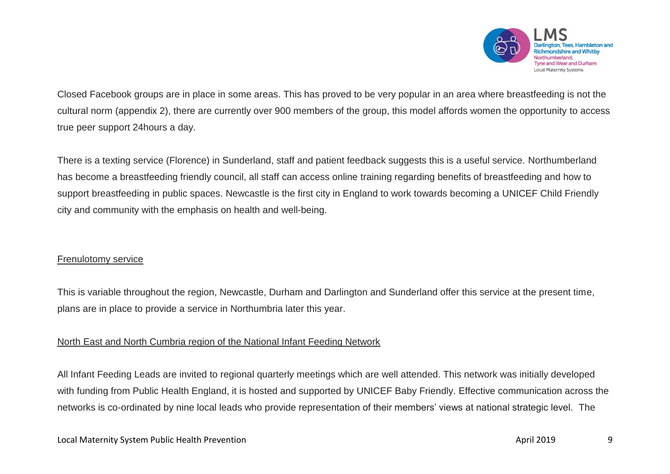

Closed Facebook groups are in place in some areas. This has proved to be very popular in an area where breastfeeding is not the cultural norm (appendix 2), there are currently over 900 members of the group, this model affords women the opportunity to access true peer support 24hours a day.

There is a texting service (Florence) in Sunderland, staff and patient feedback suggests this is a useful service. Northumberland has become a breastfeeding friendly council, all staff can access online training regarding benefits of breastfeeding and how to support breastfeeding in public spaces. Newcastle is the first city in England to work towards becoming a UNICEF Child Friendly city and community with the emphasis on health and well-being.

#### Frenulotomy service

This is variable throughout the region, Newcastle, Durham and Darlington and Sunderland offer this service at the present time, plans are in place to provide a service in Northumbria later this year.

## North East and North Cumbria region of the National Infant Feeding Network

All Infant Feeding Leads are invited to regional quarterly meetings which are well attended. This network was initially developed with funding from Public Health England, it is hosted and supported by UNICEF Baby Friendly. Effective communication across the networks is co-ordinated by nine local leads who provide representation of their members' views at national strategic level. The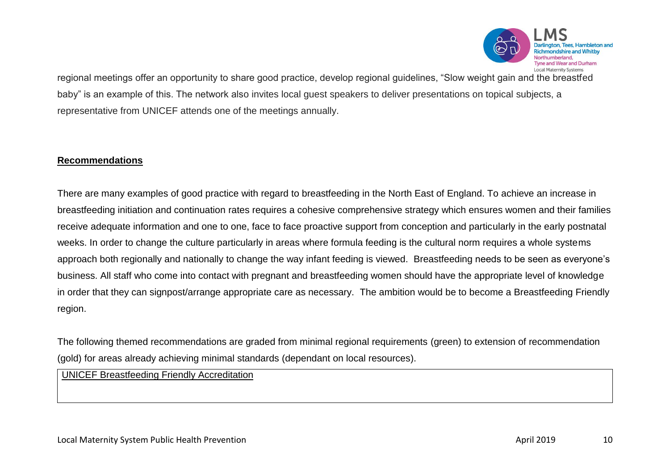

regional meetings offer an opportunity to share good practice, develop regional guidelines, "Slow weight gain and the breastfed baby" is an example of this. The network also invites local guest speakers to deliver presentations on topical subjects, a representative from UNICEF attends one of the meetings annually.

## **Recommendations**

There are many examples of good practice with regard to breastfeeding in the North East of England. To achieve an increase in breastfeeding initiation and continuation rates requires a cohesive comprehensive strategy which ensures women and their families receive adequate information and one to one, face to face proactive support from conception and particularly in the early postnatal weeks. In order to change the culture particularly in areas where formula feeding is the cultural norm requires a whole systems approach both regionally and nationally to change the way infant feeding is viewed. Breastfeeding needs to be seen as everyone's business. All staff who come into contact with pregnant and breastfeeding women should have the appropriate level of knowledge in order that they can signpost/arrange appropriate care as necessary. The ambition would be to become a Breastfeeding Friendly region.

The following themed recommendations are graded from minimal regional requirements (green) to extension of recommendation (gold) for areas already achieving minimal standards (dependant on local resources).

UNICEF Breastfeeding Friendly Accreditation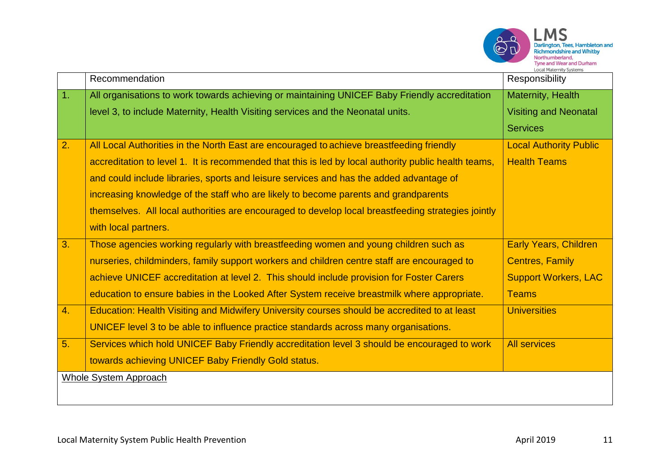

**LMS** 

|    | Recommendation                                                                                       | Responsibility                |
|----|------------------------------------------------------------------------------------------------------|-------------------------------|
| 1. | All organisations to work towards achieving or maintaining UNICEF Baby Friendly accreditation        | Maternity, Health             |
|    | level 3, to include Maternity, Health Visiting services and the Neonatal units.                      | <b>Visiting and Neonatal</b>  |
|    |                                                                                                      | <b>Services</b>               |
| 2. | All Local Authorities in the North East are encouraged to achieve breastfeeding friendly             | <b>Local Authority Public</b> |
|    | accreditation to level 1. It is recommended that this is led by local authority public health teams, | <b>Health Teams</b>           |
|    | and could include libraries, sports and leisure services and has the added advantage of              |                               |
|    | increasing knowledge of the staff who are likely to become parents and grandparents                  |                               |
|    | themselves. All local authorities are encouraged to develop local breastfeeding strategies jointly   |                               |
|    | with local partners.                                                                                 |                               |
| 3. | Those agencies working regularly with breastfeeding women and young children such as                 | <b>Early Years, Children</b>  |
|    | nurseries, childminders, family support workers and children centre staff are encouraged to          | <b>Centres, Family</b>        |
|    | achieve UNICEF accreditation at level 2. This should include provision for Foster Carers             | <b>Support Workers, LAC</b>   |
|    | education to ensure babies in the Looked After System receive breastmilk where appropriate.          | <b>Teams</b>                  |
| 4. | Education: Health Visiting and Midwifery University courses should be accredited to at least         | <b>Universities</b>           |
|    | UNICEF level 3 to be able to influence practice standards across many organisations.                 |                               |
| 5. | Services which hold UNICEF Baby Friendly accreditation level 3 should be encouraged to work          | <b>All services</b>           |
|    | towards achieving UNICEF Baby Friendly Gold status.                                                  |                               |
|    | <b>Whole System Approach</b>                                                                         |                               |
|    |                                                                                                      |                               |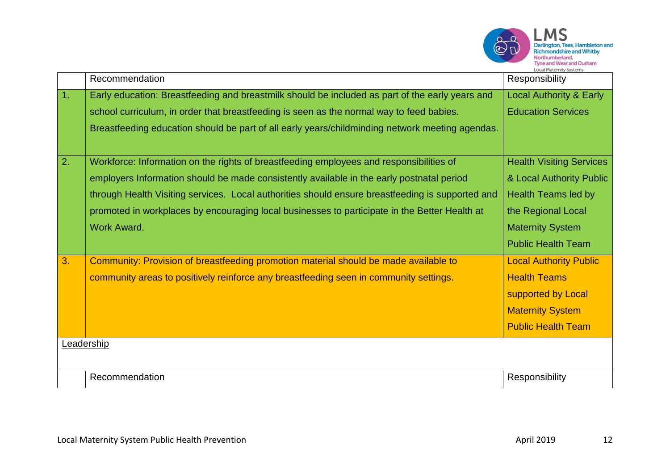

|    | Recommendation                                                                                                                                                                                                                                                                                                                                                                                                  | Responsibility                                                                                                                                                   |
|----|-----------------------------------------------------------------------------------------------------------------------------------------------------------------------------------------------------------------------------------------------------------------------------------------------------------------------------------------------------------------------------------------------------------------|------------------------------------------------------------------------------------------------------------------------------------------------------------------|
| 1. | Early education: Breastfeeding and breastmilk should be included as part of the early years and<br>school curriculum, in order that breastfeeding is seen as the normal way to feed babies.<br>Breastfeeding education should be part of all early years/childminding network meeting agendas.                                                                                                                  | <b>Local Authority &amp; Early</b><br><b>Education Services</b>                                                                                                  |
| 2. | Workforce: Information on the rights of breastfeeding employees and responsibilities of<br>employers Information should be made consistently available in the early postnatal period<br>through Health Visiting services. Local authorities should ensure breastfeeding is supported and<br>promoted in workplaces by encouraging local businesses to participate in the Better Health at<br><b>Work Award.</b> | <b>Health Visiting Services</b><br>& Local Authority Public<br>Health Teams led by<br>the Regional Local<br><b>Maternity System</b><br><b>Public Health Team</b> |
| 3. | Community: Provision of breastfeeding promotion material should be made available to<br>community areas to positively reinforce any breastfeeding seen in community settings.<br>Leadership                                                                                                                                                                                                                     | <b>Local Authority Public</b><br><b>Health Teams</b><br>supported by Local<br><b>Maternity System</b><br><b>Public Health Team</b>                               |
|    | Recommendation                                                                                                                                                                                                                                                                                                                                                                                                  | Responsibility                                                                                                                                                   |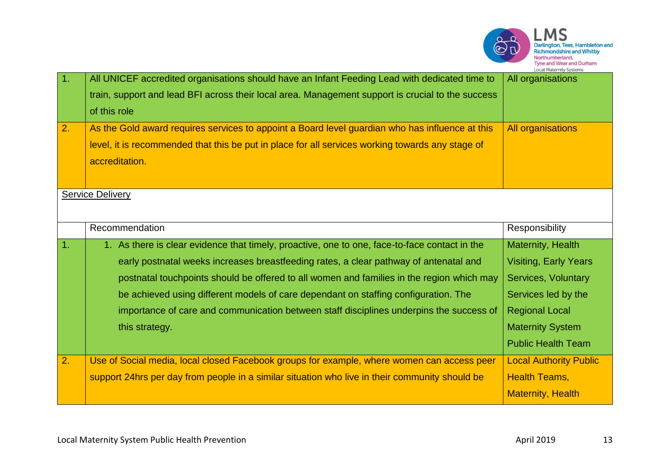

| 1. | All UNICEF accredited organisations should have an Infant Feeding Lead with dedicated time to     | All organisations             |
|----|---------------------------------------------------------------------------------------------------|-------------------------------|
|    | train, support and lead BFI across their local area. Management support is crucial to the success |                               |
|    | of this role                                                                                      |                               |
| 2. | As the Gold award requires services to appoint a Board level guardian who has influence at this   | <b>All organisations</b>      |
|    | level, it is recommended that this be put in place for all services working towards any stage of  |                               |
|    | accreditation.                                                                                    |                               |
|    |                                                                                                   |                               |
|    | <b>Service Delivery</b>                                                                           |                               |
|    |                                                                                                   |                               |
|    | Recommendation                                                                                    | Responsibility                |
| 1. | 1. As there is clear evidence that timely, proactive, one to one, face-to-face contact in the     | Maternity, Health             |
|    | early postnatal weeks increases breastfeeding rates, a clear pathway of antenatal and             | <b>Visiting, Early Years</b>  |
|    | postnatal touchpoints should be offered to all women and families in the region which may         | Services, Voluntary           |
|    | be achieved using different models of care dependant on staffing configuration. The               | Services led by the           |
|    | importance of care and communication between staff disciplines underpins the success of           | <b>Regional Local</b>         |
|    | this strategy.                                                                                    | <b>Maternity System</b>       |
|    |                                                                                                   | <b>Public Health Team</b>     |
| 2. | Use of Social media, local closed Facebook groups for example, where women can access peer        | <b>Local Authority Public</b> |
|    | support 24hrs per day from people in a similar situation who live in their community should be    | <b>Health Teams,</b>          |
|    |                                                                                                   | <b>Maternity, Health</b>      |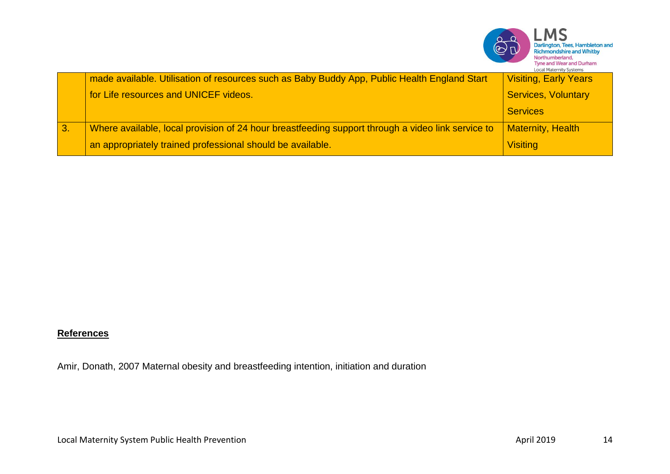|    |                                                                                                   | $\overset{\sim}{\mathbb{C}}\overset{\sim}{\mathbb{D}}$<br>Darlington, Tees, Hambleton and<br><b>Richmondshire and Whitby</b><br>Northumberland,<br><b>Tyne and Wear and Durham</b><br><b>Local Maternity Systems</b> |
|----|---------------------------------------------------------------------------------------------------|----------------------------------------------------------------------------------------------------------------------------------------------------------------------------------------------------------------------|
|    | made available. Utilisation of resources such as Baby Buddy App, Public Health England Start      | <b>Visiting, Early Years</b>                                                                                                                                                                                         |
|    | for Life resources and UNICEF videos.                                                             | <b>Services, Voluntary</b>                                                                                                                                                                                           |
|    |                                                                                                   | <b>Services</b>                                                                                                                                                                                                      |
| 3. | Where available, local provision of 24 hour breastfeeding support through a video link service to | <b>Maternity, Health</b>                                                                                                                                                                                             |
|    | an appropriately trained professional should be available.                                        | <b>Visiting</b>                                                                                                                                                                                                      |

# **References**

Amir, Donath, 2007 Maternal obesity and breastfeeding intention, initiation and duration

 $\sim$  $\sim$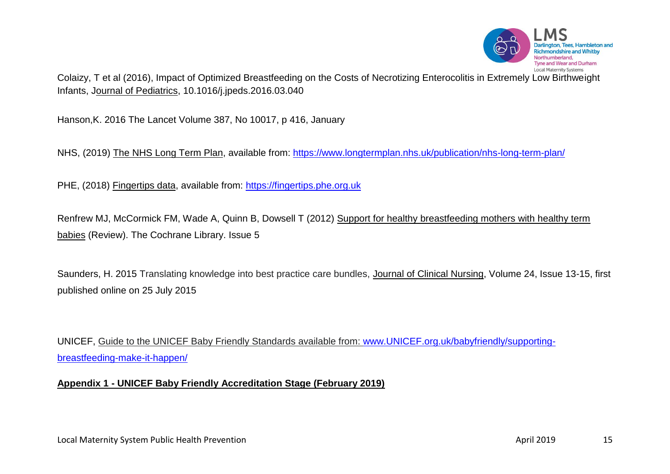

[Colaizy, T et al \(2016\), Impact of Optimized Breastfeeding on the Costs of Necrotizing Enterocolitis in Extremely Low Birthweight](http://www.ncbi.nlm.nih.gov/pubmed/27131403)  Infants, Journal [of Pediatrics, 10.1016/j.jpeds.2016.03.040](http://www.ncbi.nlm.nih.gov/pubmed/27131403)

Hanson,K. 2016 The Lancet Volume 387, No 10017, p 416, January

NHS, (2019) The NHS Long Term Plan, available from:<https://www.longtermplan.nhs.uk/publication/nhs-long-term-plan/>

PHE, (2018) Fingertips data, available from: [https://fingertips.phe.org.uk](https://fingertips.phe.org.uk/)

Renfrew MJ, McCormick FM, Wade A, Quinn B, Dowsell T (2012) Support for healthy breastfeeding mothers with healthy term babies (Review). The Cochrane Library. Issue 5

Saunders, H. 2015 Translating knowledge into best practice care bundles, Journal of Clinical Nursing, Volume 24, Issue 13-15, first published online on 25 July 2015

UNICEF, Guide to the UNICEF Baby Friendly Standards available from: [www.UNICEF.org.uk/babyfriendly/supporting](http://www.unicef.org.uk/babyfriendly/supporting-breastfeeding-make-it-happen/)[breastfeeding-make-it-happen/](http://www.unicef.org.uk/babyfriendly/supporting-breastfeeding-make-it-happen/)

## **Appendix 1 - UNICEF Baby Friendly Accreditation Stage (February 2019)**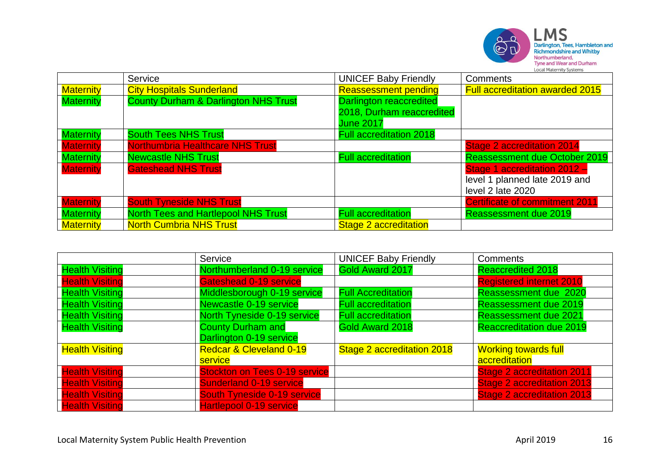

|                  | Service                                         | <b>UNICEF Baby Friendly</b>    | <b>Comments</b>                        |
|------------------|-------------------------------------------------|--------------------------------|----------------------------------------|
| <b>Maternity</b> | <b>City Hospitals Sunderland</b>                | <b>Reassessment pending</b>    | <b>Full accreditation awarded 2015</b> |
| <b>Maternity</b> | <b>County Durham &amp; Darlington NHS Trust</b> | <b>Darlington reaccredited</b> |                                        |
|                  |                                                 | 2018, Durham reaccredited      |                                        |
|                  |                                                 | <b>June 2017</b>               |                                        |
| <b>Maternity</b> | <b>South Tees NHS Trust</b>                     | <b>Full accreditation 2018</b> |                                        |
| <b>Maternity</b> | Northumbria Healthcare NHS Trust                |                                | <b>Stage 2 accreditation 2014</b>      |
| <b>Maternity</b> | <b>Newcastle NHS Trust</b>                      | <b>Full accreditation</b>      | <b>Reassessment due October 2019</b>   |
| <b>Maternity</b> | <b>Gateshead NHS Trust</b>                      |                                | Stage 1 accreditation 2012 -           |
|                  |                                                 |                                | level 1 planned late 2019 and          |
|                  |                                                 |                                | level 2 late 2020                      |
| <b>Maternity</b> | <b>South Tyneside NHS Trust</b>                 |                                | <b>Certificate of commitment 2011</b>  |
| <b>Maternity</b> | <b>North Tees and Hartlepool NHS Trust</b>      | <b>Full accreditation</b>      | <b>Reassessment due 2019</b>           |
| <b>Maternity</b> | <b>North Cumbria NHS Trust</b>                  | <b>Stage 2 accreditation</b>   |                                        |

|                        | Service                              | <b>UNICEF Baby Friendly</b> | <b>Comments</b>                   |
|------------------------|--------------------------------------|-----------------------------|-----------------------------------|
| <b>Health Visiting</b> | Northumberland 0-19 service          | Gold Award 2017             | <b>Reaccredited 2018</b>          |
| <b>Health Visiting</b> | Gateshead 0-19 service               |                             | <b>Registered internet 2010</b>   |
| <b>Health Visiting</b> | Middlesborough 0-19 service          | <b>Full Accreditation</b>   | Reassessment due 2020             |
| <b>Health Visiting</b> | Newcastle 0-19 service               | <b>Full accreditation</b>   | <b>Reassessment due 2019</b>      |
| <b>Health Visiting</b> | North Tyneside 0-19 service          | <b>Full accreditation</b>   | <b>Reassessment due 2021</b>      |
| <b>Health Visiting</b> | <b>County Durham and</b>             | Gold Award 2018             | <b>Reaccreditation due 2019</b>   |
|                        | Darlington 0-19 service              |                             |                                   |
| <b>Health Visiting</b> | <b>Redcar &amp; Cleveland 0-19</b>   | Stage 2 accreditation 2018  | <b>Working towards full</b>       |
|                        | service                              |                             | accreditation                     |
| <b>Health Visiting</b> | <b>Stockton on Tees 0-19 service</b> |                             | <b>Stage 2 accreditation 2011</b> |
| <b>Health Visiting</b> | <b>Sunderland 0-19 service</b>       |                             | <b>Stage 2 accreditation 2013</b> |
| <b>Health Visiting</b> | <b>South Tyneside 0-19 service</b>   |                             | <b>Stage 2 accreditation 2013</b> |
| <b>Health Visiting</b> | <b>Hartlepool 0-19 service</b>       |                             |                                   |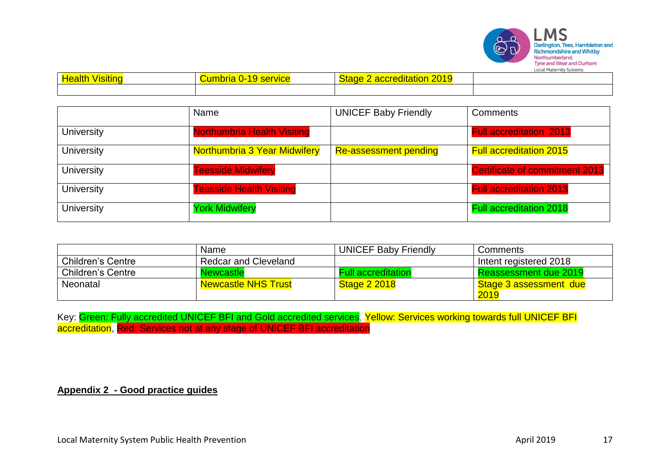

| <b>Healt</b> | <u>ımh</u><br>noria<br><b>THE SETVICE</b><br>21 T | $\overline{\phantom{a}}$<br><b>Phat<sup>o</sup></b><br><b><i><u>Property Contract Contract Contract Contract Contract Contract Contract Contract Contract Contract Contract Contract Contract Contract Contract Contract Contract Contract Contract Contract Contract Contract Contract Con</u></i></b><br>oliation<br>ас<br><u>ZU 19</u> |  |
|--------------|---------------------------------------------------|-------------------------------------------------------------------------------------------------------------------------------------------------------------------------------------------------------------------------------------------------------------------------------------------------------------------------------------------|--|
|              |                                                   |                                                                                                                                                                                                                                                                                                                                           |  |

|                   | Name                                | <b>UNICEF Baby Friendly</b>  | Comments                              |
|-------------------|-------------------------------------|------------------------------|---------------------------------------|
| <b>University</b> | <b>Northumbria Health Visiting</b>  |                              | <b>Full accreditation 2013</b>        |
| <b>University</b> | <b>Northumbria 3 Year Midwifery</b> | <b>Re-assessment pending</b> | <b>Full accreditation 2015</b>        |
| <b>University</b> | <b>Teesside Midwifery</b>           |                              | <b>Certificate of commitment 2013</b> |
| <b>University</b> | <b>Teesside Health Visiting</b>     |                              | <b>Full accreditation 2013</b>        |
| <b>University</b> | <b>York Midwifery</b>               |                              | <b>Full accreditation 2018</b>        |

|                          | Name                        | <b>UNICEF Baby Friendly</b> | Comments               |
|--------------------------|-----------------------------|-----------------------------|------------------------|
| <b>Children's Centre</b> | <b>Redcar and Cleveland</b> |                             | Intent registered 2018 |
| <b>Children's Centre</b> | <b>Newcastle</b>            | <b>Full accreditation</b>   | Reassessment due 2019  |
| Neonatal                 | <b>Newcastle NHS Trust</b>  | <b>Stage 2 2018</b>         | Stage 3 assessment due |
|                          |                             |                             | 2019                   |

Key: <mark>Green: Fully accredited UNICEF BFI and Gold accredited services</mark>, <mark>Yellow: Services working towards full UNICEF BFI</mark> accreditation, Red: Services not at any stage of UNICEF BFI accreditation

#### **Appendix 2 - Good practice guides**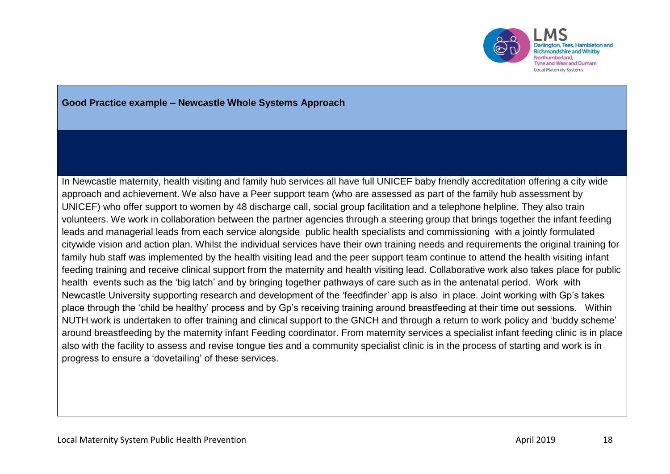

### **Good Practice example – Newcastle Whole Systems Approach**

In Newcastle maternity, health visiting and family hub services all have full UNICEF baby friendly accreditation offering a city wide approach and achievement. We also have a Peer support team (who are assessed as part of the family hub assessment by UNICEF) who offer support to women by 48 discharge call, social group facilitation and a telephone helpline. They also train volunteers. We work in collaboration between the partner agencies through a steering group that brings together the infant feeding leads and managerial leads from each service alongside public health specialists and commissioning with a jointly formulated citywide vision and action plan. Whilst the individual services have their own training needs and requirements the original training for family hub staff was implemented by the health visiting lead and the peer support team continue to attend the health visiting infant feeding training and receive clinical support from the maternity and health visiting lead. Collaborative work also takes place for public health events such as the 'big latch' and by bringing together pathways of care such as in the antenatal period. Work with Newcastle University supporting research and development of the 'feedfinder' app is also in place. Joint working with Gp's takes place through the 'child be healthy' process and by Gp's receiving training around breastfeeding at their time out sessions. Within NUTH work is undertaken to offer training and clinical support to the GNCH and through a return to work policy and 'buddy scheme' around breastfeeding by the maternity infant Feeding coordinator. From maternity services a specialist infant feeding clinic is in place also with the facility to assess and revise tongue ties and a community specialist clinic is in the process of starting and work is in progress to ensure a 'dovetailing' of these services.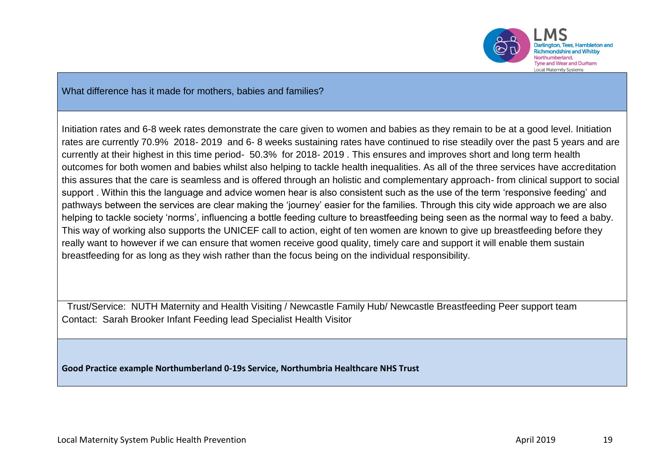

What difference has it made for mothers, babies and families?

Initiation rates and 6-8 week rates demonstrate the care given to women and babies as they remain to be at a good level. Initiation rates are currently 70.9% 2018- 2019 and 6- 8 weeks sustaining rates have continued to rise steadily over the past 5 years and are currently at their highest in this time period- 50.3% for 2018- 2019 . This ensures and improves short and long term health outcomes for both women and babies whilst also helping to tackle health inequalities. As all of the three services have accreditation this assures that the care is seamless and is offered through an holistic and complementary approach- from clinical support to social support . Within this the language and advice women hear is also consistent such as the use of the term 'responsive feeding' and pathways between the services are clear making the 'journey' easier for the families. Through this city wide approach we are also helping to tackle society 'norms', influencing a bottle feeding culture to breastfeeding being seen as the normal way to feed a baby. This way of working also supports the UNICEF call to action, eight of ten women are known to give up breastfeeding before they really want to however if we can ensure that women receive good quality, timely care and support it will enable them sustain breastfeeding for as long as they wish rather than the focus being on the individual responsibility.

 Trust/Service: NUTH Maternity and Health Visiting / Newcastle Family Hub/ Newcastle Breastfeeding Peer support team Contact: Sarah Brooker Infant Feeding lead Specialist Health Visitor

**Good Practice example Northumberland 0-19s Service, Northumbria Healthcare NHS Trust**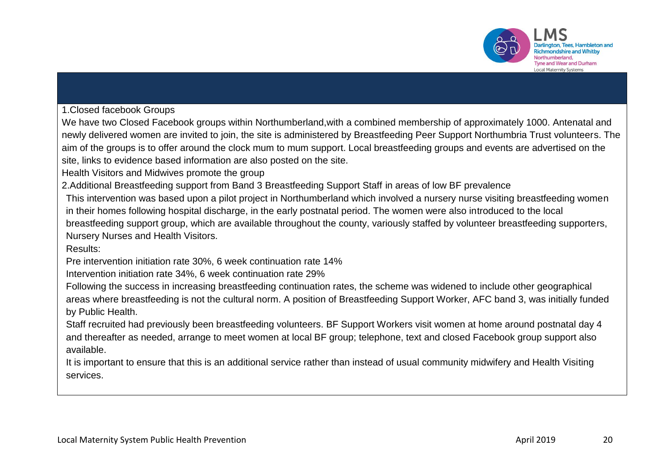

1.Closed facebook Groups

We have two Closed Facebook groups within Northumberland,with a combined membership of approximately 1000. Antenatal and newly delivered women are invited to join, the site is administered by Breastfeeding Peer Support Northumbria Trust volunteers. The aim of the groups is to offer around the clock mum to mum support. Local breastfeeding groups and events are advertised on the site, links to evidence based information are also posted on the site.

Health Visitors and Midwives promote the group

2.Additional Breastfeeding support from Band 3 Breastfeeding Support Staff in areas of low BF prevalence

This intervention was based upon a pilot project in Northumberland which involved a nursery nurse visiting breastfeeding women in their homes following hospital discharge, in the early postnatal period. The women were also introduced to the local breastfeeding support group, which are available throughout the county, variously staffed by volunteer breastfeeding supporters, Nursery Nurses and Health Visitors.

Results:

Pre intervention initiation rate 30%, 6 week continuation rate 14%

Intervention initiation rate 34%, 6 week continuation rate 29%

Following the success in increasing breastfeeding continuation rates, the scheme was widened to include other geographical areas where breastfeeding is not the cultural norm. A position of Breastfeeding Support Worker, AFC band 3, was initially funded by Public Health.

Staff recruited had previously been breastfeeding volunteers. BF Support Workers visit women at home around postnatal day 4 and thereafter as needed, arrange to meet women at local BF group; telephone, text and closed Facebook group support also available.

It is important to ensure that this is an additional service rather than instead of usual community midwifery and Health Visiting services.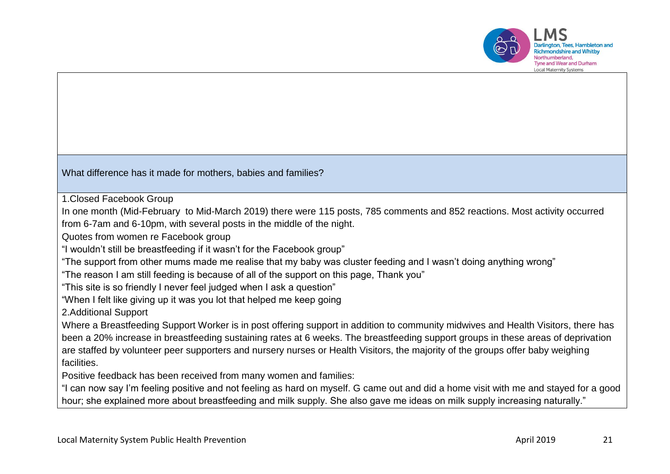

, Tees, Hambleton and Inthumharland **Tyne and Wear and Durham Local Maternity Systems** 

What difference has it made for mothers, babies and families?

1.Closed Facebook Group

In one month (Mid-February to Mid-March 2019) there were 115 posts, 785 comments and 852 reactions. Most activity occurred from 6-7am and 6-10pm, with several posts in the middle of the night.

Quotes from women re Facebook group

"I wouldn't still be breastfeeding if it wasn't for the Facebook group"

"The support from other mums made me realise that my baby was cluster feeding and I wasn't doing anything wrong"

"The reason I am still feeding is because of all of the support on this page, Thank you"

"This site is so friendly I never feel judged when I ask a question"

"When I felt like giving up it was you lot that helped me keep going

2.Additional Support

Where a Breastfeeding Support Worker is in post offering support in addition to community midwives and Health Visitors, there has been a 20% increase in breastfeeding sustaining rates at 6 weeks. The breastfeeding support groups in these areas of deprivation are staffed by volunteer peer supporters and nursery nurses or Health Visitors, the majority of the groups offer baby weighing facilities.

Positive feedback has been received from many women and families:

"I can now say I'm feeling positive and not feeling as hard on myself. G came out and did a home visit with me and stayed for a good hour; she explained more about breastfeeding and milk supply. She also gave me ideas on milk supply increasing naturally."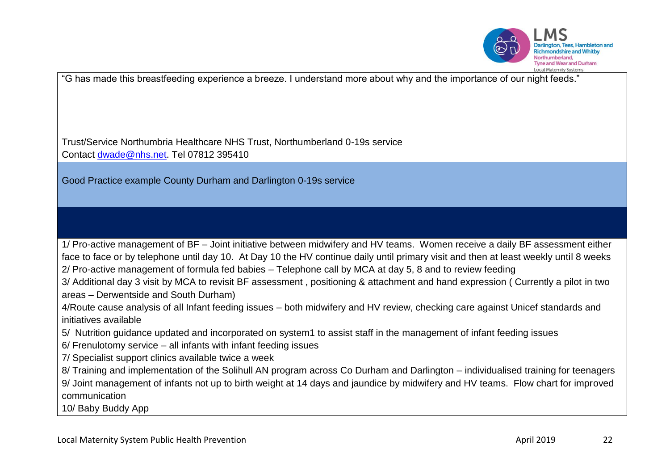

"G has made this breastfeeding experience a breeze. I understand more about why and the importance of our night feeds."

Trust/Service Northumbria Healthcare NHS Trust, Northumberland 0-19s service Contact [dwade@nhs.net.](mailto:dwade@nhs.net) Tel 07812 395410

Good Practice example County Durham and Darlington 0-19s service

1/ Pro-active management of BF – Joint initiative between midwifery and HV teams. Women receive a daily BF assessment either face to face or by telephone until day 10. At Day 10 the HV continue daily until primary visit and then at least weekly until 8 weeks 2/ Pro-active management of formula fed babies – Telephone call by MCA at day 5, 8 and to review feeding

3/ Additional day 3 visit by MCA to revisit BF assessment , positioning & attachment and hand expression ( Currently a pilot in two areas – Derwentside and South Durham)

4/Route cause analysis of all Infant feeding issues – both midwifery and HV review, checking care against Unicef standards and initiatives available

5/ Nutrition guidance updated and incorporated on system1 to assist staff in the management of infant feeding issues

6/ Frenulotomy service – all infants with infant feeding issues

7/ Specialist support clinics available twice a week

8/ Training and implementation of the Solihull AN program across Co Durham and Darlington – individualised training for teenagers

9/ Joint management of infants not up to birth weight at 14 days and jaundice by midwifery and HV teams. Flow chart for improved communication

10/ Baby Buddy App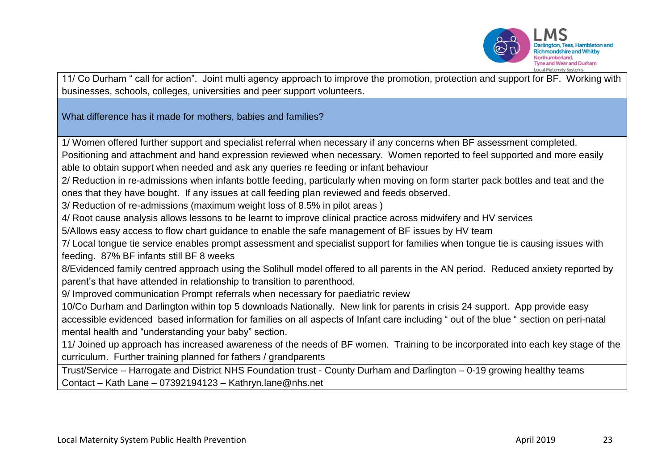

11/ Co Durham " call for action". Joint multi agency approach to improve the promotion, protection and support for BF. Working with businesses, schools, colleges, universities and peer support volunteers.

What difference has it made for mothers, babies and families?

1/ Women offered further support and specialist referral when necessary if any concerns when BF assessment completed.

Positioning and attachment and hand expression reviewed when necessary. Women reported to feel supported and more easily able to obtain support when needed and ask any queries re feeding or infant behaviour

2/ Reduction in re-admissions when infants bottle feeding, particularly when moving on form starter pack bottles and teat and the ones that they have bought. If any issues at call feeding plan reviewed and feeds observed.

3/ Reduction of re-admissions (maximum weight loss of 8.5% in pilot areas )

4/ Root cause analysis allows lessons to be learnt to improve clinical practice across midwifery and HV services

5/Allows easy access to flow chart guidance to enable the safe management of BF issues by HV team

7/ Local tongue tie service enables prompt assessment and specialist support for families when tongue tie is causing issues with feeding. 87% BF infants still BF 8 weeks

8/Evidenced family centred approach using the Solihull model offered to all parents in the AN period. Reduced anxiety reported by parent's that have attended in relationship to transition to parenthood.

9/ Improved communication Prompt referrals when necessary for paediatric review

10/Co Durham and Darlington within top 5 downloads Nationally. New link for parents in crisis 24 support. App provide easy accessible evidenced based information for families on all aspects of Infant care including " out of the blue " section on peri-natal mental health and "understanding your baby" section.

11/ Joined up approach has increased awareness of the needs of BF women. Training to be incorporated into each key stage of the curriculum. Further training planned for fathers / grandparents

Trust/Service – Harrogate and District NHS Foundation trust - County Durham and Darlington – 0-19 growing healthy teams Contact – Kath Lane – 07392194123 – Kathryn.lane@nhs.net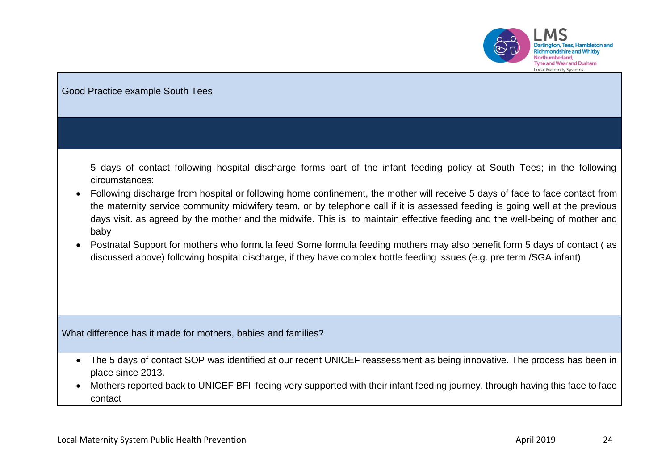

 $MS$ Darlington, Tees, Hambleton and **Richmondshire and Whitby** Northumberland,<br>Northumberland,<br>Tyne and Wear and Durham Local Maternity Systems

| Good Practice example South Tees                                                                                                                                                                                                                                                                                                                                                                                                                                                                                                                                                                                                                                                                                                                                                                                               |
|--------------------------------------------------------------------------------------------------------------------------------------------------------------------------------------------------------------------------------------------------------------------------------------------------------------------------------------------------------------------------------------------------------------------------------------------------------------------------------------------------------------------------------------------------------------------------------------------------------------------------------------------------------------------------------------------------------------------------------------------------------------------------------------------------------------------------------|
|                                                                                                                                                                                                                                                                                                                                                                                                                                                                                                                                                                                                                                                                                                                                                                                                                                |
| 5 days of contact following hospital discharge forms part of the infant feeding policy at South Tees; in the following<br>circumstances:<br>Following discharge from hospital or following home confinement, the mother will receive 5 days of face to face contact from<br>$\bullet$<br>the maternity service community midwifery team, or by telephone call if it is assessed feeding is going well at the previous<br>days visit. as agreed by the mother and the midwife. This is to maintain effective feeding and the well-being of mother and<br>baby<br>Postnatal Support for mothers who formula feed Some formula feeding mothers may also benefit form 5 days of contact (as<br>$\bullet$<br>discussed above) following hospital discharge, if they have complex bottle feeding issues (e.g. pre term /SGA infant). |
| What difference has it made for mothers, babies and families?                                                                                                                                                                                                                                                                                                                                                                                                                                                                                                                                                                                                                                                                                                                                                                  |
| The 5 days of contact SOP was identified at our recent UNICEF reassessment as being innovative. The process has been in<br>$\bullet$<br>place since 2013.<br>Mothers reported back to UNICEF BFI feeing very supported with their infant feeding journey, through having this face to face<br>$\bullet$<br>contact                                                                                                                                                                                                                                                                                                                                                                                                                                                                                                             |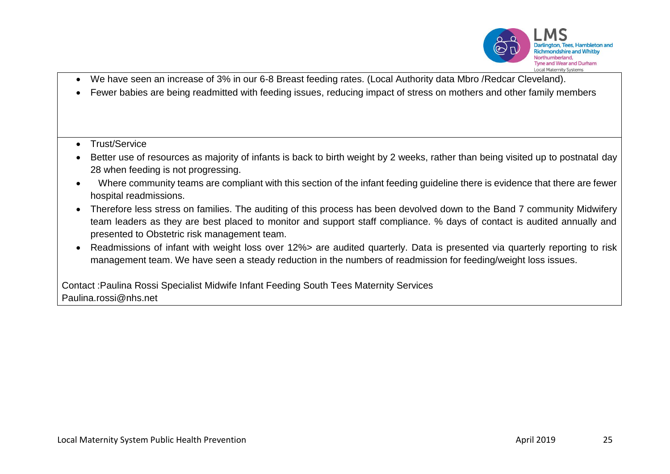

- We have seen an increase of 3% in our 6-8 Breast feeding rates. (Local Authority data Mbro /Redcar Cleveland).
- Fewer babies are being readmitted with feeding issues, reducing impact of stress on mothers and other family members
- Trust/Service
- Better use of resources as majority of infants is back to birth weight by 2 weeks, rather than being visited up to postnatal day 28 when feeding is not progressing.
- Where community teams are compliant with this section of the infant feeding guideline there is evidence that there are fewer hospital readmissions.
- Therefore less stress on families. The auditing of this process has been devolved down to the Band 7 community Midwifery team leaders as they are best placed to monitor and support staff compliance. % days of contact is audited annually and presented to Obstetric risk management team.
- Readmissions of infant with weight loss over 12%> are audited quarterly. Data is presented via quarterly reporting to risk management team. We have seen a steady reduction in the numbers of readmission for feeding/weight loss issues.

Contact :Paulina Rossi Specialist Midwife Infant Feeding South Tees Maternity Services Paulina.rossi@nhs.net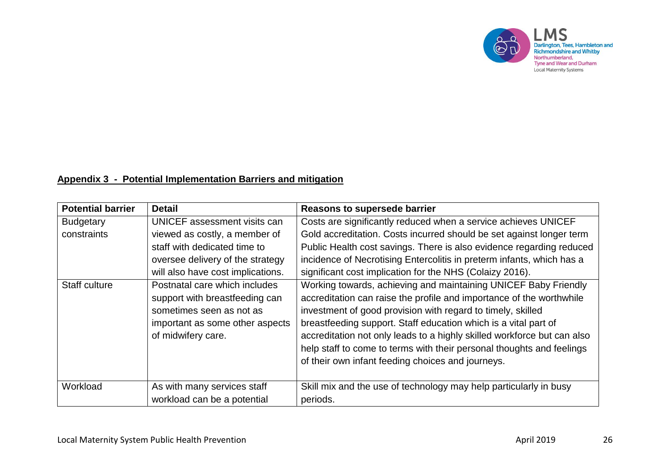

# **Appendix 3 - Potential Implementation Barriers and mitigation**

| <b>Potential barrier</b> | <b>Detail</b>                     | <b>Reasons to supersede barrier</b>                                     |
|--------------------------|-----------------------------------|-------------------------------------------------------------------------|
| <b>Budgetary</b>         | UNICEF assessment visits can      | Costs are significantly reduced when a service achieves UNICEF          |
| constraints              | viewed as costly, a member of     | Gold accreditation. Costs incurred should be set against longer term    |
|                          | staff with dedicated time to      | Public Health cost savings. There is also evidence regarding reduced    |
|                          | oversee delivery of the strategy  | incidence of Necrotising Entercolitis in preterm infants, which has a   |
|                          | will also have cost implications. | significant cost implication for the NHS (Colaizy 2016).                |
| <b>Staff culture</b>     | Postnatal care which includes     | Working towards, achieving and maintaining UNICEF Baby Friendly         |
|                          | support with breastfeeding can    | accreditation can raise the profile and importance of the worthwhile    |
|                          | sometimes seen as not as          | investment of good provision with regard to timely, skilled             |
|                          | important as some other aspects   | breastfeeding support. Staff education which is a vital part of         |
|                          | of midwifery care.                | accreditation not only leads to a highly skilled workforce but can also |
|                          |                                   | help staff to come to terms with their personal thoughts and feelings   |
|                          |                                   | of their own infant feeding choices and journeys.                       |
|                          |                                   |                                                                         |
| Workload                 | As with many services staff       | Skill mix and the use of technology may help particularly in busy       |
|                          | workload can be a potential       | periods.                                                                |